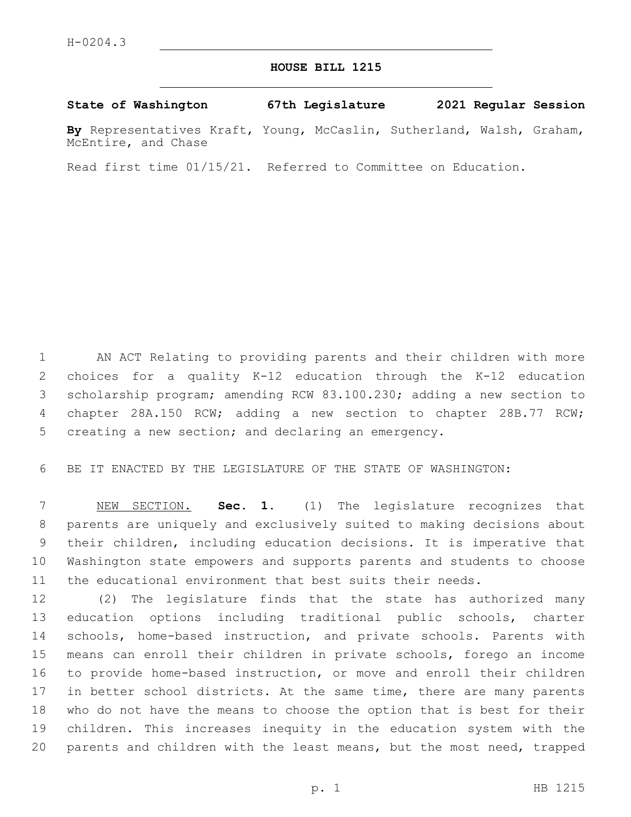## **HOUSE BILL 1215**

## **State of Washington 67th Legislature 2021 Regular Session**

**By** Representatives Kraft, Young, McCaslin, Sutherland, Walsh, Graham, McEntire, and Chase

Read first time 01/15/21. Referred to Committee on Education.

 AN ACT Relating to providing parents and their children with more choices for a quality K-12 education through the K-12 education scholarship program; amending RCW 83.100.230; adding a new section to chapter 28A.150 RCW; adding a new section to chapter 28B.77 RCW; creating a new section; and declaring an emergency.

BE IT ENACTED BY THE LEGISLATURE OF THE STATE OF WASHINGTON:

 NEW SECTION. **Sec. 1.** (1) The legislature recognizes that parents are uniquely and exclusively suited to making decisions about their children, including education decisions. It is imperative that Washington state empowers and supports parents and students to choose the educational environment that best suits their needs.

 (2) The legislature finds that the state has authorized many education options including traditional public schools, charter schools, home-based instruction, and private schools. Parents with means can enroll their children in private schools, forego an income to provide home-based instruction, or move and enroll their children 17 in better school districts. At the same time, there are many parents who do not have the means to choose the option that is best for their children. This increases inequity in the education system with the parents and children with the least means, but the most need, trapped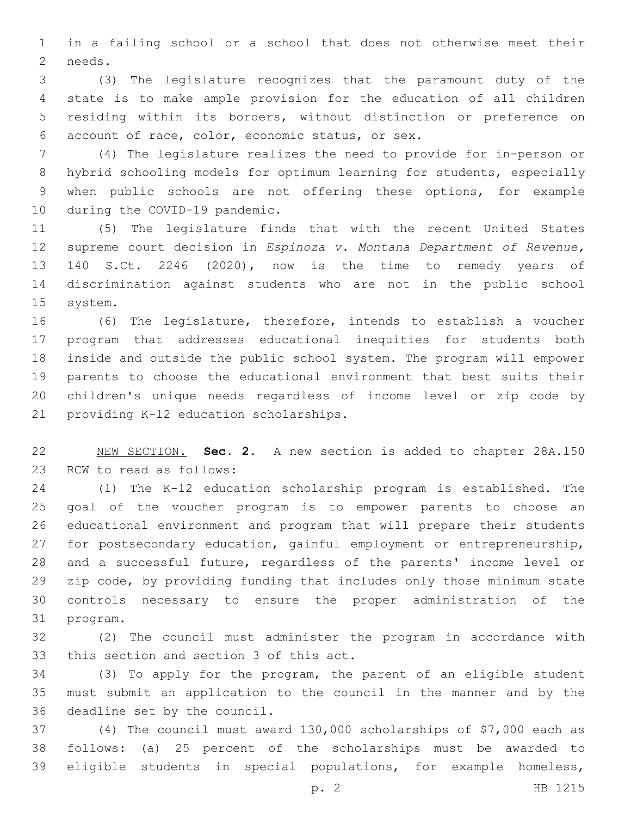in a failing school or a school that does not otherwise meet their 2 needs.

 (3) The legislature recognizes that the paramount duty of the state is to make ample provision for the education of all children residing within its borders, without distinction or preference on account of race, color, economic status, or sex.6

 (4) The legislature realizes the need to provide for in-person or hybrid schooling models for optimum learning for students, especially when public schools are not offering these options, for example 10 during the COVID-19 pandemic.

 (5) The legislature finds that with the recent United States supreme court decision in *Espinoza v. Montana Department of Revenue,*  140 S.Ct. 2246 (2020), now is the time to remedy years of discrimination against students who are not in the public school 15 system.

 (6) The legislature, therefore, intends to establish a voucher program that addresses educational inequities for students both inside and outside the public school system. The program will empower parents to choose the educational environment that best suits their children's unique needs regardless of income level or zip code by 21 providing K-12 education scholarships.

 NEW SECTION. **Sec. 2.** A new section is added to chapter 28A.150 23 RCW to read as follows:

 (1) The K-12 education scholarship program is established. The goal of the voucher program is to empower parents to choose an educational environment and program that will prepare their students for postsecondary education, gainful employment or entrepreneurship, and a successful future, regardless of the parents' income level or zip code, by providing funding that includes only those minimum state controls necessary to ensure the proper administration of the 31 program.

 (2) The council must administer the program in accordance with 33 this section and section 3 of this act.

 (3) To apply for the program, the parent of an eligible student must submit an application to the council in the manner and by the 36 deadline set by the council.

 (4) The council must award 130,000 scholarships of \$7,000 each as follows: (a) 25 percent of the scholarships must be awarded to eligible students in special populations, for example homeless,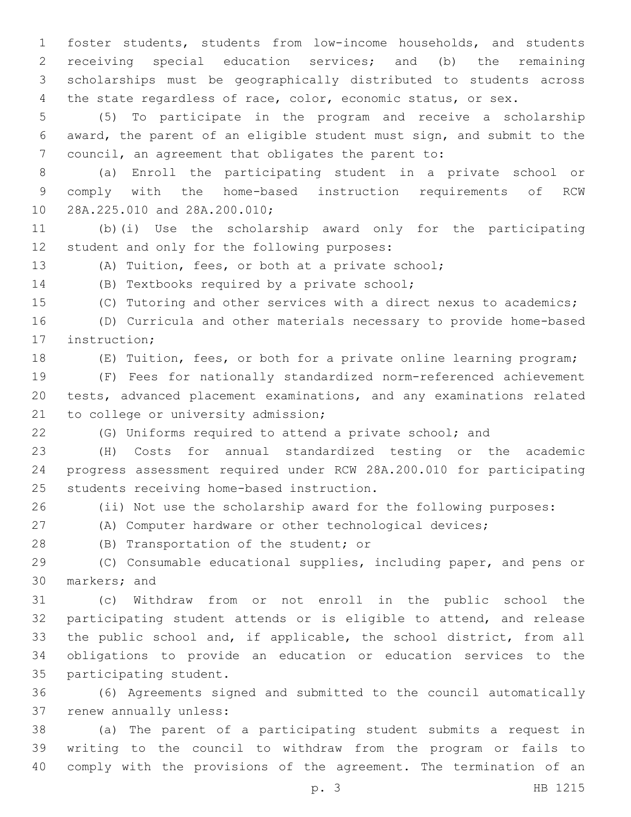foster students, students from low-income households, and students receiving special education services; and (b) the remaining scholarships must be geographically distributed to students across 4 the state regardless of race, color, economic status, or sex.

 (5) To participate in the program and receive a scholarship award, the parent of an eligible student must sign, and submit to the council, an agreement that obligates the parent to:

 (a) Enroll the participating student in a private school or comply with the home-based instruction requirements of RCW 10 28A.225.010 and 28A.200.010;

 (b)(i) Use the scholarship award only for the participating 12 student and only for the following purposes:

(A) Tuition, fees, or both at a private school;

14 (B) Textbooks required by a private school;

(C) Tutoring and other services with a direct nexus to academics;

 (D) Curricula and other materials necessary to provide home-based 17 instruction;

(E) Tuition, fees, or both for a private online learning program;

 (F) Fees for nationally standardized norm-referenced achievement tests, advanced placement examinations, and any examinations related 21 to college or university admission;

(G) Uniforms required to attend a private school; and

 (H) Costs for annual standardized testing or the academic progress assessment required under RCW 28A.200.010 for participating 25 students receiving home-based instruction.

(ii) Not use the scholarship award for the following purposes:

(A) Computer hardware or other technological devices;

28 (B) Transportation of the student; or

 (C) Consumable educational supplies, including paper, and pens or 30 markers; and

 (c) Withdraw from or not enroll in the public school the participating student attends or is eligible to attend, and release the public school and, if applicable, the school district, from all obligations to provide an education or education services to the 35 participating student.

 (6) Agreements signed and submitted to the council automatically 37 renew annually unless:

 (a) The parent of a participating student submits a request in writing to the council to withdraw from the program or fails to comply with the provisions of the agreement. The termination of an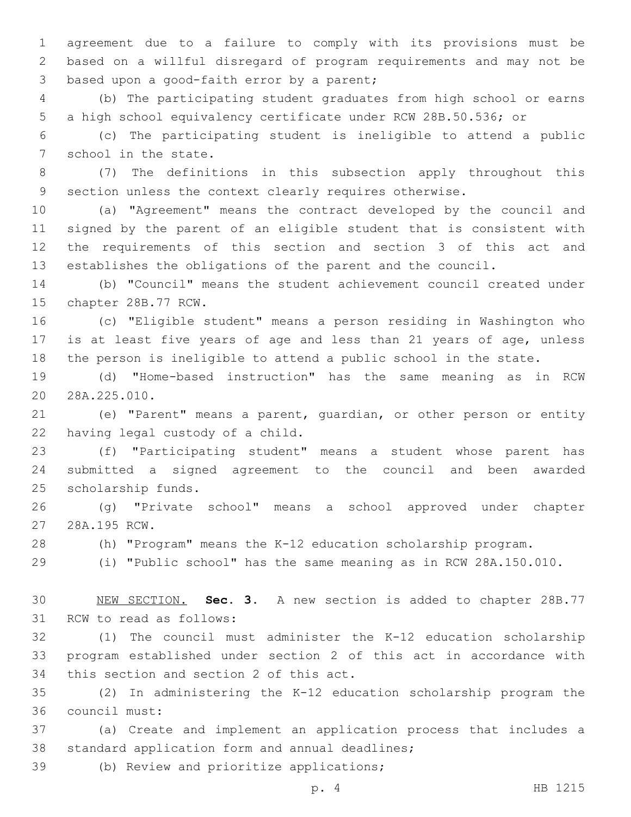agreement due to a failure to comply with its provisions must be based on a willful disregard of program requirements and may not be 3 based upon a good-faith error by a parent;

 (b) The participating student graduates from high school or earns a high school equivalency certificate under RCW 28B.50.536; or

 (c) The participating student is ineligible to attend a public 7 school in the state.

 (7) The definitions in this subsection apply throughout this section unless the context clearly requires otherwise.

 (a) "Agreement" means the contract developed by the council and signed by the parent of an eligible student that is consistent with the requirements of this section and section 3 of this act and establishes the obligations of the parent and the council.

 (b) "Council" means the student achievement council created under 15 chapter 28B.77 RCW.

 (c) "Eligible student" means a person residing in Washington who is at least five years of age and less than 21 years of age, unless the person is ineligible to attend a public school in the state.

 (d) "Home-based instruction" has the same meaning as in RCW 20 28A.225.010.

 (e) "Parent" means a parent, guardian, or other person or entity 22 having legal custody of a child.

 (f) "Participating student" means a student whose parent has submitted a signed agreement to the council and been awarded 25 scholarship funds.

 (g) "Private school" means a school approved under chapter 27 28A.195 RCW.

(h) "Program" means the K-12 education scholarship program.

(i) "Public school" has the same meaning as in RCW 28A.150.010.

 NEW SECTION. **Sec. 3.** A new section is added to chapter 28B.77 31 RCW to read as follows:

 (1) The council must administer the K-12 education scholarship program established under section 2 of this act in accordance with 34 this section and section 2 of this act.

 (2) In administering the K-12 education scholarship program the council must:36

 (a) Create and implement an application process that includes a 38 standard application form and annual deadlines;

39 (b) Review and prioritize applications;